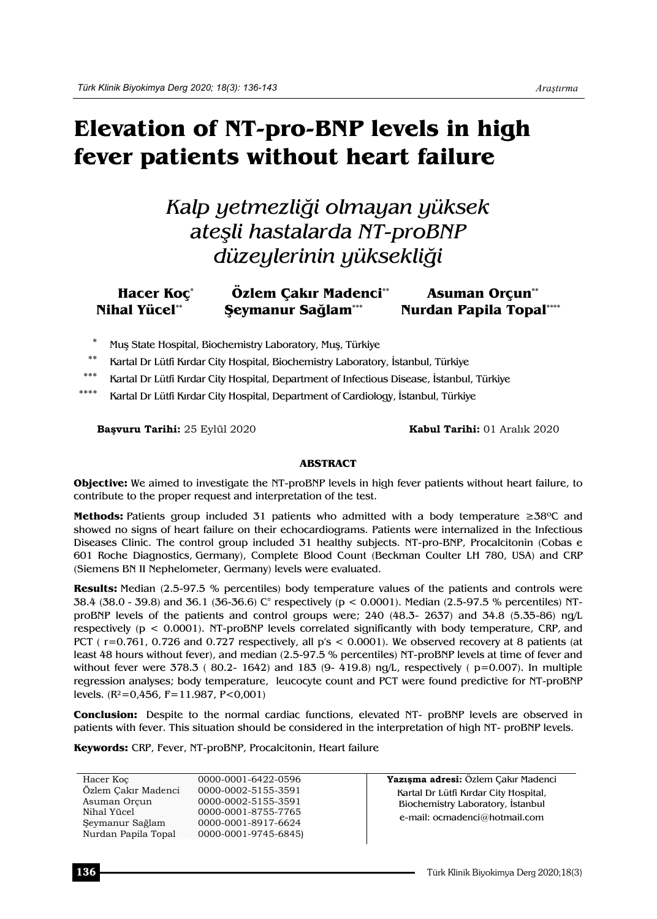# **Elevation of NT-pro-BNP levels in high fever patients without heart failure**

## *Kalp yetmezliği olmayan yüksek ateşli hastalarda NT-proBNP düzeylerinin yüksekliği*

#### **Hacer Koç\* Özlem Çakır Madenci\*\* Asuman Orçun\*\* Nihal Yücel\*\* Şeymanur Sağlam\*\*\* Nurdan Papila Topal\*\*\*\***

- Muş State Hospital, Biochemistry Laboratory, Muş, Türkiye
- \*\* Kartal Dr Lütfi Kırdar City Hospital, Biochemistry Laboratory, İstanbul, Türkiye
- \*\*\* Kartal Dr Lütfi Kırdar City Hospital, Department of Infectious Disease, İstanbul, Türkiye
- Kartal Dr Lütfi Kırdar City Hospital, Department of Cardiology, İstanbul, Türkiye

**Başvuru Tarihi:** 25 Eylül 2020 **Kabul Tarihi:** 01 Aralık 2020

#### **ABSTRACT**

**Objective:** We aimed to investigate the NT-proBNP levels in high fever patients without heart failure, to contribute to the proper request and interpretation of the test.

**Methods:** Patients group included 31 patients who admitted with a body temperature ≥38°C and showed no signs of heart failure on their echocardiograms. Patients were internalized in the Infectious Diseases Clinic. The control group included 31 healthy subjects. NT-pro-BNP, Procalcitonin (Cobas e 601 Roche Diagnostics, Germany), Complete Blood Count (Beckman Coulter LH 780, USA) and CRP (Siemens BN II Nephelometer, Germany) levels were evaluated.

**Results:** Median (2.5-97.5 % percentiles) body temperature values of the patients and controls were 38.4 (38.0 - 39.8) and 36.1 (36-36.6) C° respectively (p < 0.0001). Median (2.5-97.5 % percentiles) NTproBNP levels of the patients and control groups were; 240 (48.3- 2637) and 34.8 (5.35-86) ng/L respectively (p < 0.0001). NT-proBNP levels correlated significantly with body temperature, CRP, and PCT ( $r=0.761$ , 0.726 and 0.727 respectively, all  $p's < 0.0001$ ). We observed recovery at 8 patients (at least 48 hours without fever), and median (2.5-97.5 % percentiles) NT-proBNP levels at time of fever and without fever were 378.3 ( $80.2-1642$ ) and 183 (9-419.8) ng/L, respectively ( $p=0.007$ ). In multiple regression analyses; body temperature,leucocyte count and PCT were found predictive for NT-proBNP levels.  $(R^2=0.456, F=11.987, P<0.001)$ 

**Conclusion:** Despite to the normal cardiac functions, elevated NT- proBNP levels are observed in patients with fever. This situation should be considered in the interpretation of high NT- proBNP levels.

**Keywords:** CRP, Fever, NT-proBNP, Procalcitonin, Heart failure

| Hacer Koc<br>Özlem Cakır Madenci | 0000-0001-6422-0596<br>0000-0002-5155-3591 | Yazısma adresi: Özlem Cakır Madenci<br>Kartal Dr Lütfi Kırdar City Hospital, |
|----------------------------------|--------------------------------------------|------------------------------------------------------------------------------|
| Asuman Orcun                     | 0000-0002-5155-3591                        | Biochemistry Laboratory, Istanbul                                            |
| Nihal Yücel<br>Seymanur Sağlam   | 0000-0001-8755-7765<br>0000-0001-8917-6624 | e-mail: ocmadenci@hotmail.com                                                |
| Nurdan Papila Topal              | 0000-0001-9745-6845)                       |                                                                              |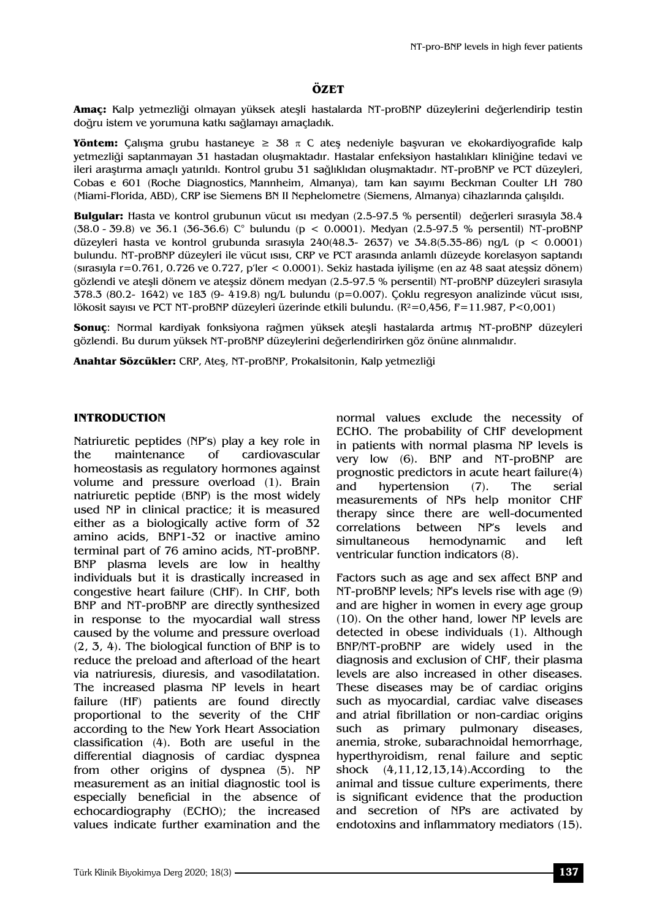#### **ÖZET**

**Amaç:** Kalp yetmezliği olmayan yüksek ateşli hastalarda NT-proBNP düzeylerini değerlendirip testin doğru istem ve yorumuna katkı sağlamayı amaçladık.

**Yöntem:** Çalışma grubu hastaneye  $\geq 38$   $\pi$  C ates nedeniyle başvuran ve ekokardiyografide kalp yetmezliği saptanmayan 31 hastadan oluşmaktadır. Hastalar enfeksiyon hastalıkları kliniğine tedavi ve ileri araştırma amaçlı yatırıldı. Kontrol grubu 31 sağlıklıdan oluşmaktadır. NT-proBNP ve PCT düzeyleri, Cobas e 601 (Roche Diagnostics, Mannheim, Almanya), tam kan sayımı Beckman Coulter LH 780 (Miami-Florida, ABD), CRP ise Siemens BN II Nephelometre (Siemens, Almanya) cihazlarında çalışıldı.

**Bulgular:** Hasta ve kontrol grubunun vücut ısı medyan (2.5-97.5 % persentil) değerleri sırasıyla 38.4 (38.0 - 39.8) ve 36.1 (36-36.6) C° bulundu (p < 0.0001). Medyan (2.5-97.5 % persentil) NT-proBNP düzeyleri hasta ve kontrol grubunda sırasıyla 240(48.3- 2637) ve 34.8(5.35-86) ng/L (p < 0.0001) bulundu. NT-proBNP düzeyleri ile vücut ısısı, CRP ve PCT arasında anlamlı düzeyde korelasyon saptandı (sırasıyla r=0.761, 0.726 ve 0.727, p'ler < 0.0001). Sekiz hastada iyilişme (en az 48 saat ateşsiz dönem) gözlendi ve ateşli dönem ve ateşsiz dönem medyan (2.5-97.5 % persentil) NT-proBNP düzeyleri sırasıyla 378.3 (80.2- 1642) ve 183 (9- 419.8) ng/L bulundu (p=0.007). Çoklu regresyon analizinde vücut ısısı, lökosit sayısı ve PCT NT-proBNP düzeyleri üzerinde etkili bulundu. (R²=0,456, F=11.987, P<0,001)

**Sonuç**: Normal kardiyak fonksiyona rağmen yüksek ateşli hastalarda artmış NT-proBNP düzeyleri gözlendi. Bu durum yüksek NT-proBNP düzeylerini değerlendirirken göz önüne alınmalıdır.

**Anahtar Sözcükler:** CRP, Ateş, NT-proBNP, Prokalsitonin, Kalp yetmezliği

#### **INTRODUCTION**

Natriuretic peptides (NP's) play a key role in the maintenance of cardiovascular homeostasis as regulatory hormones against volume and pressure overload (1). Brain natriuretic peptide (BNP) is the most widely used NP in clinical practice; it is measured either as a biologically active form of 32 amino acids, BNP1-32 or inactive amino terminal part of 76 amino acids, NT-proBNP. BNP plasma levels are low in healthy individuals but it is drastically increased in congestive heart failure (CHF). In CHF, both BNP and NT-proBNP are directly synthesized in response to the myocardial wall stress caused by the volume and pressure overload (2, 3, 4). The biological function of BNP is to reduce the preload and afterload of the heart via natriuresis, diuresis, and vasodilatation. The increased plasma NP levels in heart failure (HF) patients are found directly proportional to the severity of the CHF according to the New York Heart Association classification (4). Both are useful in the differential diagnosis of cardiac dyspnea from other origins of dyspnea (5). NP measurement as an initial diagnostic tool is especially beneficial in the absence of echocardiography (ECHO); the increased values indicate further examination and the normal values exclude the necessity of ECHO. The probability of CHF development in patients with normal plasma NP levels is very low (6). BNP and NT-proBNP are prognostic predictors in acute heart failure(4) and hypertension (7). The serial measurements of NPs help monitor CHF therapy since there are well-documented correlations between NP's levels and simultaneous hemodynamic and left ventricular function indicators (8).

Factors such as age and sex affect BNP and NT-proBNP levels; NP's levels rise with age (9) and are higher in women in every age group (10). On the other hand, lower NP levels are detected in obese individuals (1). Although BNP/NT-proBNP are widely used in the diagnosis and exclusion of CHF, their plasma levels are also increased in other diseases. These diseases may be of cardiac origins such as myocardial, cardiac valve diseases and atrial fibrillation or non-cardiac origins such as primary pulmonary diseases, anemia, stroke, subarachnoidal hemorrhage, hyperthyroidism, renal failure and septic shock (4,11,12,13,14).According to the animal and tissue culture experiments, there is significant evidence that the production and secretion of NPs are activated by endotoxins and inflammatory mediators (15).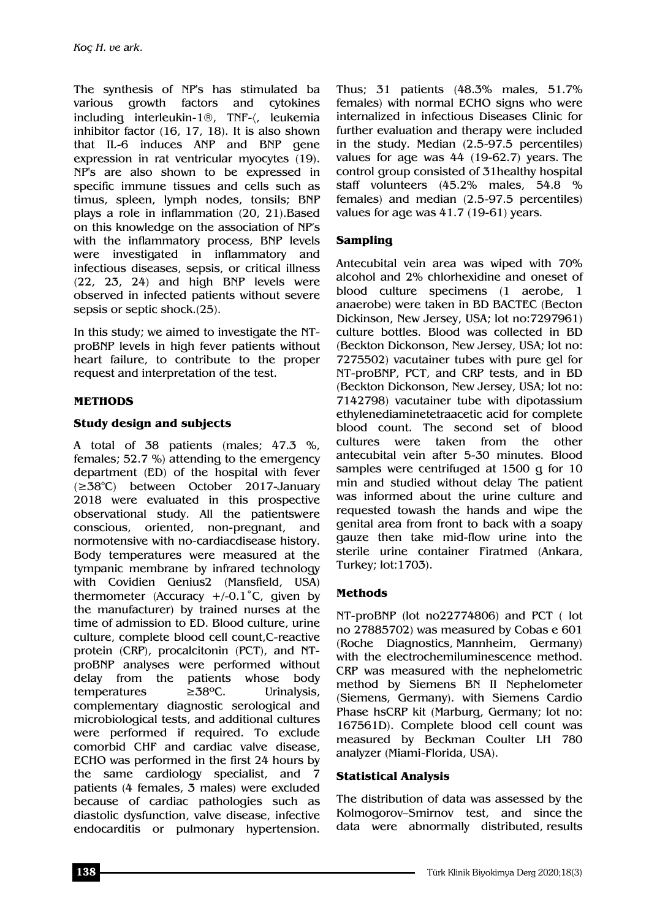The synthesis of NP's has stimulated ba various growth factors and cytokines including interleukin-1®, TNF-(, leukemia inhibitor factor (16, 17, 18). It is also shown that IL-6 induces ANP and BNP gene expression in rat ventricular myocytes (19). NP's are also shown to be expressed in specific immune tissues and cells such as timus, spleen, lymph nodes, tonsils; BNP plays a role in inflammation (20, 21).Based on this knowledge on the association of NP's with the inflammatory process, BNP levels were investigated in inflammatory and infectious diseases, sepsis, or critical illness (22, 23, 24) and high BNP levels were observed in infected patients without severe sepsis or septic shock.(25).

In this study; we aimed to investigate the NTproBNP levels in high fever patients without heart failure, to contribute to the proper request and interpretation of the test.

## **METHODS**

## **Study design and subjects**

A total of 38 patients (males; 47.3 %, females; 52.7 %) attending to the emergency department (ED) of the hospital with fever (≥38°C) between October 2017-January 2018 were evaluated in this prospective observational study. All the patientswere conscious, oriented, non-pregnant, and normotensive with no-cardiacdisease history. Body temperatures were measured at the tympanic membrane by infrared technology with Covidien Genius2 (Mansfield, USA) thermometer (Accuracy  $+/-0.1$ °C, given by the manufacturer) by trained nurses at the time of admission to ED. Blood culture, urine culture, complete blood cell count,C-reactive protein (CRP), procalcitonin (PCT), and NTproBNP analyses were performed without delay from the patients whose body temperatures ≥38ºC. Urinalysis, complementary diagnostic serological and microbiological tests, and additional cultures were performed if required. To exclude comorbid CHF and cardiac valve disease, ECHO was performed in the first 24 hours by the same cardiology specialist, and 7 patients (4 females, 3 males) were excluded because of cardiac pathologies such as diastolic dysfunction, valve disease, infective endocarditis or pulmonary hypertension.

Thus; 31 patients (48.3% males, 51.7% females) with normal ECHO signs who were internalized in infectious Diseases Clinic for further evaluation and therapy were included in the study. Median (2.5-97.5 percentiles) values for age was 44 (19-62.7) years. The control group consisted of 31healthy hospital staff volunteers (45.2% males, 54.8 % females) and median (2.5-97.5 percentiles) values for age was 41.7 (19-61) years.

## **Sampling**

Antecubital vein area was wiped with 70% alcohol and 2% chlorhexidine and oneset of blood culture specimens (1 aerobe, 1 anaerobe) were taken in BD BACTEC (Becton Dickinson, New Jersey, USA; lot no:7297961) culture bottles. Blood was collected in BD (Beckton Dickonson, New Jersey, USA; lot no: 7275502) vacutainer tubes with pure gel for NT-proBNP, PCT, and CRP tests, and in BD (Beckton Dickonson, New Jersey, USA; lot no: 7142798) vacutainer tube with dipotassium ethylenediaminetetraacetic acid for complete blood count. The second set of blood cultures were taken from the other antecubital vein after 5-30 minutes. Blood samples were centrifuged at 1500 g for 10 min and studied without delay The patient was informed about the urine culture and requested towash the hands and wipe the genital area from front to back with a soapy gauze then take mid-flow urine into the sterile urine container Firatmed (Ankara, Turkey; lot:1703).

### **Methods**

NT-proBNP (lot no22774806) and PCT ( lot no 27885702) was measured by Cobas e 601 (Roche Diagnostics, Mannheim, Germany) with the electrochemiluminescence method. CRP was measured with the nephelometric method by Siemens BN II Nephelometer (Siemens, Germany). with Siemens Cardio Phase hsCRP kit (Marburg, Germany; lot no: 167561D). Complete blood cell count was measured by Beckman Coulter LH 780 analyzer (Miami-Florida, USA).

### **Statistical Analysis**

The distribution of data was assessed by the Kolmogorov–Smirnov test, and since the data were abnormally distributed, results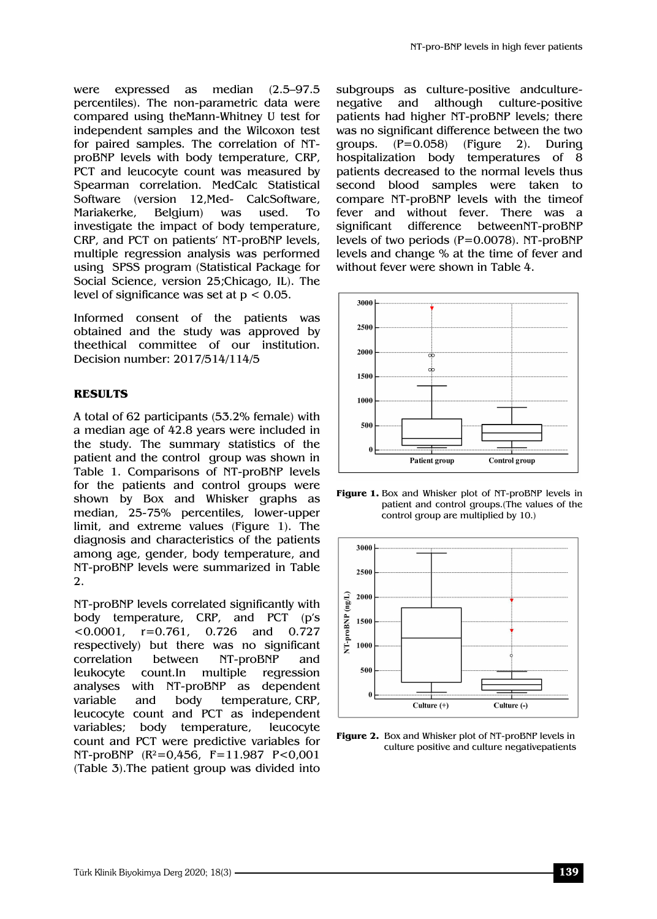were expressed as median (2.5–97.5 percentiles). The non-parametric data were compared using theMann-Whitney U test for independent samples and the Wilcoxon test for paired samples. The correlation of NTproBNP levels with body temperature, CRP, PCT and leucocyte count was measured by Spearman correlation. MedCalc Statistical Software (version 12,Med- CalcSoftware, Mariakerke, Belgium) was used. To investigate the impact of body temperature, CRP, and PCT on patients' NT-proBNP levels, multiple regression analysis was performed using SPSS program (Statistical Package for Social Science, version 25;Chicago, IL). The level of significance was set at  $p < 0.05$ .

Informed consent of the patients was obtained and the study was approved by theethical committee of our institution. Decision number: 2017/514/114/5

## **RESULTS**

A total of 62 participants (53.2% female) with a median age of 42.8 years were included in the study. The summary statistics of the patient and the control group was shown in Table 1. Comparisons of NT-proBNP levels for the patients and control groups were shown by Box and Whisker graphs as median, 25-75% percentiles, lower-upper limit, and extreme values (Figure 1). The diagnosis and characteristics of the patients among age, gender, body temperature, and NT-proBNP levels were summarized in Table 2.

NT-proBNP levels correlated significantly with body temperature, CRP, and PCT (p's <0.0001, r=0.761, 0.726 and 0.727 respectively) but there was no significant correlation between NT-proBNP and leukocyte count.In multiple regression analyses with NT-proBNP as dependent variable and body temperature, CRP, leucocyte count and PCT as independent variables; body temperature, leucocyte count and PCT were predictive variables for NT-proBNP (R²=0,456, F=11.987 P<0,001 (Table 3).The patient group was divided into

subgroups as culture-positive andculturenegative and although culture-positive patients had higher NT-proBNP levels; there was no significant difference between the two groups. (P=0.058) (Figure 2). During hospitalization body temperatures of 8 patients decreased to the normal levels thus second blood samples were taken to compare NT-proBNP levels with the timeof fever and without fever. There was a significant difference betweenNT-proBNP levels of two periods (P=0.0078). NT-proBNP levels and change % at the time of fever and without fever were shown in Table 4.



**Figure 1.** Box and Whisker plot of NT-proBNP levels in patient and control groups.(The values of the control group are multiplied by 10.)



**Figure 2.** Box and Whisker plot of NT-proBNP levels in culture positive and culture negativepatients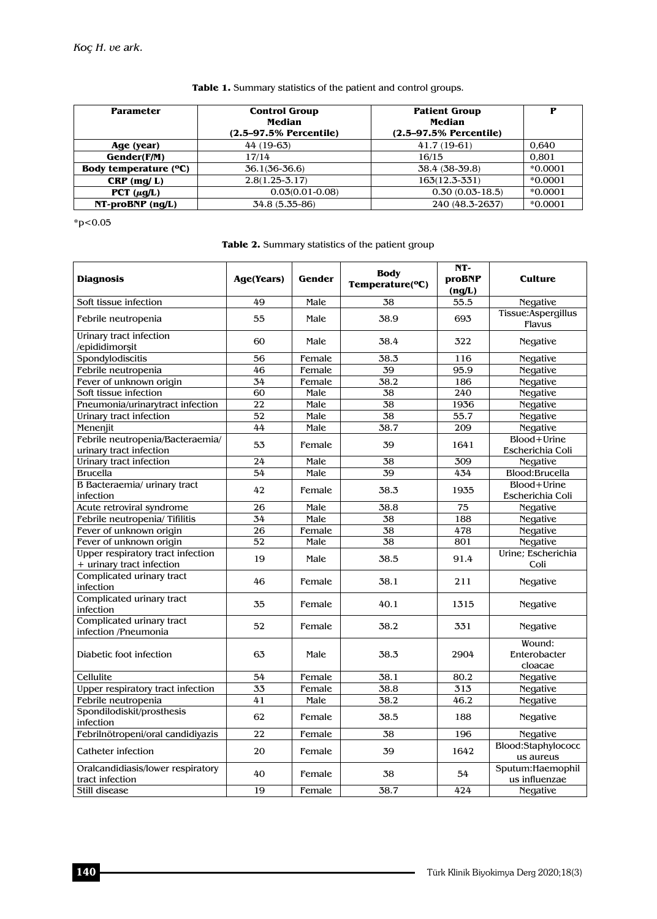#### **Table 1.** Summary statistics of the patient and control groups.

| <b>Parameter</b>      | <b>Control Group</b><br>Median<br>$(2.5 - 97.5\%$ Percentile) | <b>Patient Group</b><br>Median<br>$(2.5 - 97.5\%$ Percentile) | Р         |
|-----------------------|---------------------------------------------------------------|---------------------------------------------------------------|-----------|
| Age (year)            | 44 (19-63)                                                    | 41.7 (19-61)                                                  | 0.640     |
| Gender(F/M)           | 17/14                                                         | 16/15                                                         | 0.801     |
| Body temperature (°C) | $36.1(36-36.6)$                                               | 38.4 (38-39.8)                                                | $*0.0001$ |
| $CRP$ (mg/L)          | $2.8(1.25 - 3.17)$                                            | $163(12.3 - 331)$                                             | $*0.0001$ |
| PCT $(\mu q/L)$       | $0.03(0.01-0.08)$                                             | $0.30(0.03-18.5)$                                             | $*0.0001$ |
| $NT-proBNP$ (ng/L)    | 34.8 (5.35-86)                                                | 240 (48.3-2637)                                               | $*0.0001$ |

 $*p<0.05$ 

|  | <b>Table 2.</b> Summary statistics of the patient group |  |  |
|--|---------------------------------------------------------|--|--|
|  |                                                         |  |  |

| <b>Diagnosis</b>                                               | Age(Years)      | Gender | <b>Body</b><br>Temperature(°C) | $NT-$<br><b>proBNP</b><br>(ng/L) | <b>Culture</b>                    |
|----------------------------------------------------------------|-----------------|--------|--------------------------------|----------------------------------|-----------------------------------|
| Soft tissue infection                                          | 49              | Male   | 38                             | 55.5                             | <b>Negative</b>                   |
| Febrile neutropenia                                            | 55              | Male   | 38.9                           | 693                              | Tissue:Aspergillus<br>Flavus      |
| Urinary tract infection<br>/epididimorsit                      | 60              | Male   | 38.4                           | 322                              | <b>Negative</b>                   |
| Spondylodiscitis                                               | 56              | Female | 38.3                           | 116                              | <b>Negative</b>                   |
| Febrile neutropenia                                            | 46              | Female | 39                             | 95.9                             | <b>Negative</b>                   |
| Fever of unknown origin                                        | 34              | Female | 38.2                           | 186                              | <b>Negative</b>                   |
| Soft tissue infection                                          | 60              | Male   | 38                             | 240                              | <b>Negative</b>                   |
| Pneumonia/urinarytract infection                               | 22              | Male   | 38                             | 1936                             | <b>Negative</b>                   |
| Urinary tract infection                                        | 52              | Male   | 38                             | 55.7                             | <b>Negative</b>                   |
| Menenjit                                                       | 44              | Male   | 38.7                           | 209                              | <b>Negative</b>                   |
| Febrile neutropenia/Bacteraemia/<br>urinary tract infection    | 53              | Female | 39                             | 1641                             | Blood+Urine<br>Escherichia Coli   |
| Urinary tract infection                                        | 24              | Male   | 38                             | 309                              | <b>Negative</b>                   |
| <b>Brucella</b>                                                | 54              | Male   | 39                             | 434                              | Blood:Brucella                    |
| B Bacteraemia/ urinary tract<br>infection                      | 42              | Female | 38.3                           | 1935                             | Blood+Urine<br>Escherichia Coli   |
| Acute retroviral syndrome                                      | 26              | Male   | 38.8                           | 75                               | <b>Negative</b>                   |
| Febrile neutropenia/Tifilitis                                  | 34              | Male   | 38                             | 188                              | <b>Negative</b>                   |
| Fever of unknown origin                                        | 26              | Female | 38                             | 478                              | <b>Negative</b>                   |
| Fever of unknown origin                                        | 52              | Male   | 38                             | 801                              | <b>Negative</b>                   |
| Upper respiratory tract infection<br>+ urinary tract infection | 19              | Male   | 38.5                           | 91.4                             | Urine; Escherichia<br>Coli        |
| Complicated urinary tract<br>infection                         | 46              | Female | 38.1                           | 211                              | <b>Negative</b>                   |
| Complicated urinary tract<br>infection                         | 35              | Female | 40.1                           | 1315                             | <b>Negative</b>                   |
| Complicated urinary tract<br>infection /Pneumonia              | 52              | Female | 38.2                           | 331                              | <b>Negative</b>                   |
| Diabetic foot infection                                        | 63              | Male   | 38.3                           | 2904                             | Wound:<br>Enterobacter<br>cloacae |
| Cellulite                                                      | 54              | Female | 38.1                           | 80.2                             | <b>Negative</b>                   |
| Upper respiratory tract infection                              | $\overline{33}$ | Female | 38.8                           | 313                              | <b>Negative</b>                   |
| Febrile neutropenia                                            | 41              | Male   | 38.2                           | 46.2                             | <b>Negative</b>                   |
| Spondilodiskit/prosthesis<br>infection                         | 62              | Female | 38.5                           | 188                              | <b>Negative</b>                   |
| Febrilnötropeni/oral candidiyazis                              | 22              | Female | 38                             | 196                              | <b>Negative</b>                   |
| Catheter infection                                             | 20              | Female | 39                             | 1642                             | Blood:Staphylococc<br>us aureus   |
| Oralcandidiasis/lower respiratory<br>tract infection           | 40              | Female | 38                             | 54                               | Sputum:Haemophil<br>us influenzae |
| Still disease                                                  | 19              | Female | 38.7                           | 424                              | <b>Negative</b>                   |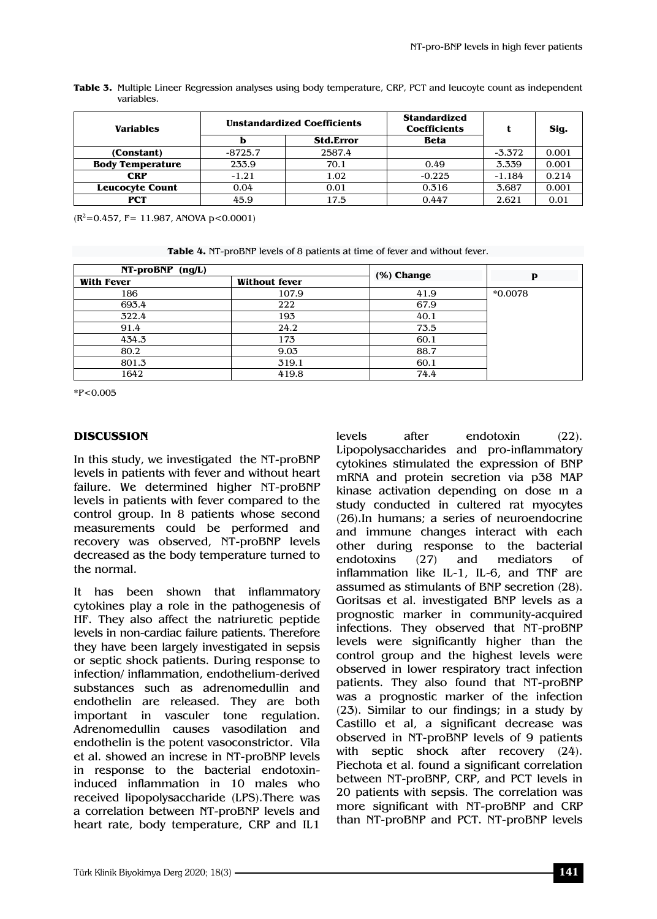| <b>Variables</b>        |           | <b>Unstandardized Coefficients</b> | <b>Standardized</b><br><b>Coefficients</b> | t        | Sig.  |
|-------------------------|-----------|------------------------------------|--------------------------------------------|----------|-------|
|                         |           | <b>Std.Error</b>                   | <b>Beta</b>                                |          |       |
| (Constant)              | $-8725.7$ | 2587.4                             |                                            | $-3.372$ | 0.001 |
| <b>Body Temperature</b> | 233.9     | 70.1                               | 0.49                                       | 3.339    | 0.001 |
| CRP                     | $-1.21$   | 1.02                               | $-0.225$                                   | $-1.184$ | 0.214 |
| <b>Leucocyte Count</b>  | 0.04      | 0.01                               | 0.316                                      | 3.687    | 0.001 |
| <b>PCT</b>              | 45.9      | 17.5                               | 0.447                                      | 2.621    | 0.01  |

| Table 3. Multiple Lineer Regression analyses using body temperature, CRP, PCT and leucoyte count as independent |  |
|-----------------------------------------------------------------------------------------------------------------|--|
| variables.                                                                                                      |  |

 $(R^2=0.457, F= 11.987, ANOVA p < 0.0001)$ 

**Table 4.** NT-proBNP levels of 8 patients at time of fever and without fever.

| NT-proBNP (ng/L)  |                      | (%) Change |           |  |
|-------------------|----------------------|------------|-----------|--|
| <b>With Fever</b> | <b>Without fever</b> |            | P         |  |
| 186               | 107.9                | 41.9       | $*0.0078$ |  |
| 693.4             | 222                  | 67.9       |           |  |
| 322.4             | 193                  | 40.1       |           |  |
| 91.4              | 24.2                 | 73.5       |           |  |
| 434.3             | 173                  | 60.1       |           |  |
| 80.2              | 9.03                 | 88.7       |           |  |
| 801.3             | 319.1                | 60.1       |           |  |
| 1642              | 419.8                | 74.4       |           |  |

\*P<0.005

### **DISCUSSION**

In this study, we investigated the NT-proBNP levels in patients with fever and without heart failure. We determined higher NT-proBNP levels in patients with fever compared to the control group. In 8 patients whose second measurements could be performed and recovery was observed, NT-proBNP levels decreased as the body temperature turned to the normal.

It has been shown that inflammatory cytokines play a role in the pathogenesis of HF. They also affect the natriuretic peptide levels in non-cardiac failure patients. Therefore they have been largely investigated in sepsis or septic shock patients. During response to infection/ inflammation, endothelium-derived substances such as adrenomedullin and endothelin are released. They are both important in vasculer tone regulation. Adrenomedullin causes vasodilation and endothelin is the potent vasoconstrictor. Vila et al. showed an increse in NT-proBNP levels in response to the bacterial endotoxininduced inflammation in 10 males who received lipopolysaccharide (LPS).There was a correlation between NT-proBNP levels and heart rate, body temperature, CRP and IL1

levels after endotoxin (22). Lipopolysaccharides and pro-inflammatory cytokines stimulated the expression of BNP mRNA and protein secretion via p38 MAP kinase activation depending on dose ın a study conducted in cultered rat myocytes (26).In humans; a series of neuroendocrine and immune changes interact with each other during response to the bacterial endotoxins (27) and mediators of inflammation like IL-1, IL-6, and TNF are assumed as stimulants of BNP secretion (28). Goritsas et al. investigated BNP levels as a prognostic marker in community-acquired infections. They observed that NT-proBNP levels were significantly higher than the control group and the highest levels were observed in lower respiratory tract infection patients. They also found that NT-proBNP was a prognostic marker of the infection (23). Similar to our findings; in a study by Castillo et al, a significant decrease was observed in NT-proBNP levels of 9 patients with septic shock after recovery (24). Piechota et al. found a significant correlation between NT-proBNP, CRP, and PCT levels in 20 patients with sepsis. The correlation was more significant with NT-proBNP and CRP than NT-proBNP and PCT. NT-proBNP levels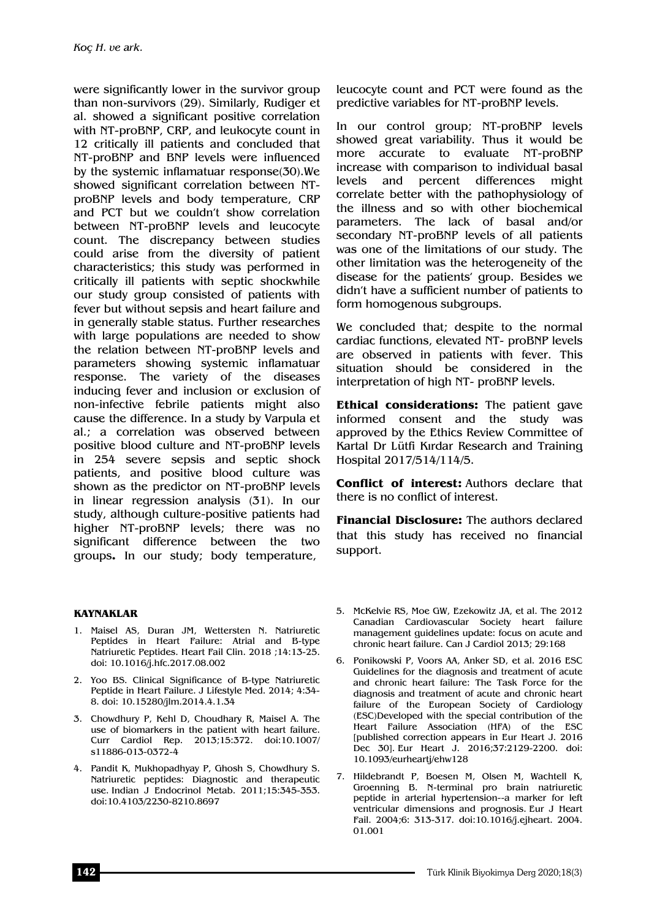were significantly lower in the survivor group than non-survivors (29). Similarly, Rudiger et al. showed a significant positive correlation with NT-proBNP, CRP, and leukocyte count in 12 critically ill patients and concluded that NT-proBNP and BNP levels were influenced by the systemic inflamatuar response(30).We showed significant correlation between NTproBNP levels and body temperature, CRP and PCT but we couldn't show correlation between NT-proBNP levels and leucocyte count. The discrepancy between studies could arise from the diversity of patient characteristics; this study was performed in critically ill patients with septic shockwhile our study group consisted of patients with fever but without sepsis and heart failure and in generally stable status. Further researches with large populations are needed to show the relation between NT-proBNP levels and parameters showing systemic inflamatuar response. The variety of the diseases inducing fever and inclusion or exclusion of non-infective febrile patients might also cause the difference. In a study by Varpula et al.; a correlation was observed between positive blood culture and NT-proBNP levels in 254 severe sepsis and septic shock patients, and positive blood culture was shown as the predictor on NT-proBNP levels in linear regression analysis (31). In our study, although culture-positive patients had higher NT-proBNP levels; there was no significant difference between the two groups**.** In our study; body temperature,

leucocyte count and PCT were found as the predictive variables for NT-proBNP levels.

In our control group; NT-proBNP levels showed great variability. Thus it would be more accurate to evaluate NT-proBNP increase with comparison to individual basal levels and percent differences might correlate better with the pathophysiology of the illness and so with other biochemical parameters. The lack of basal and/or secondary NT-proBNP levels of all patients was one of the limitations of our study. The other limitation was the heterogeneity of the disease for the patients' group. Besides we didn't have a sufficient number of patients to form homogenous subgroups.

We concluded that; despite to the normal cardiac functions, elevated NT- proBNP levels are observed in patients with fever. This situation should be considered in the interpretation of high NT- proBNP levels.

**Ethical considerations:** The patient gave informed consent and the study was approved by the Ethics Review Committee of Kartal Dr Lütfi Kırdar Research and Training Hospital 2017/514/114/5.

**Conflict of interest:** Authors declare that there is no conflict of interest.

**Financial Disclosure:** The authors declared that this study has received no financial support.

#### **KAYNAKLAR**

- 1. Maisel AS, Duran JM, Wettersten N. Natriuretic Peptides in Heart Failure: Atrial and B-type Natriuretic Peptides. Heart Fail Clin. 2018 ;14:13-25. doi: 10.1016/j.hfc.2017.08.002
- 2. Yoo BS. Clinical Significance of B-type Natriuretic Peptide in Heart Failure. J Lifestyle Med. 2014; 4:34- 8. doi: 10.15280/jlm.2014.4.1.34
- 3. Chowdhury P, Kehl D, Choudhary R, Maisel A. The use of biomarkers in the patient with heart failure. Curr Cardiol Rep. 2013;15:372. doi:10.1007/ s11886-013-0372-4
- 4. Pandit K, Mukhopadhyay P, Ghosh S, Chowdhury S. Natriuretic peptides: Diagnostic and therapeutic use. Indian J Endocrinol Metab. 2011;15:345-353. doi:10.4103/2230-8210.8697
- 5. McKelvie RS, Moe GW, Ezekowitz JA, et al. The 2012 Canadian Cardiovascular Society heart failure management guidelines update: focus on acute and chronic heart failure. Can J Cardiol 2013; 29:168
- 6. Ponikowski P, Voors AA, Anker SD, et al. 2016 ESC Guidelines for the diagnosis and treatment of acute and chronic heart failure: The Task Force for the diagnosis and treatment of acute and chronic heart failure of the European Society of Cardiology (ESC)Developed with the special contribution of the Heart Failure Association (HFA) of the ESC [published correction appears in Eur Heart J. 2016 Dec 30]. Eur Heart J. 2016;37:2129-2200. doi: 10.1093/eurheartj/ehw128
- 7. Hildebrandt P, Boesen M, Olsen M, Wachtell K, Groenning B. N-terminal pro brain natriuretic peptide in arterial hypertension--a marker for left ventricular dimensions and prognosis. Eur J Heart Fail. 2004;6: 313-317. doi:10.1016/j.ejheart. 2004. 01.001